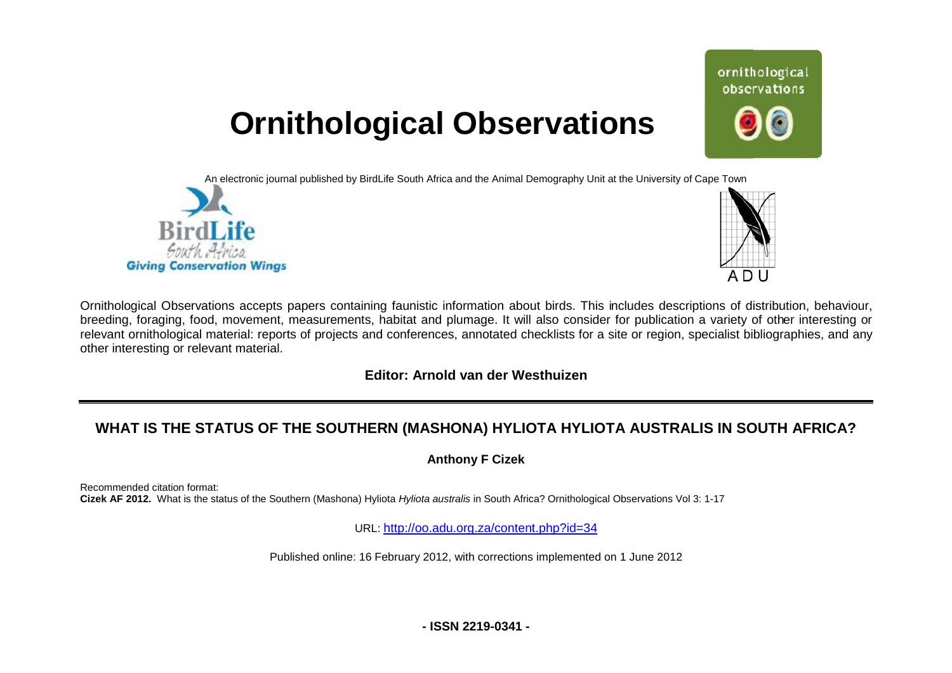# **Ornithological Observations**

An electronic journal published by BirdLife South Africa and the Animal Demography Unit at the University of Cape Town





ornithological observations

Ornithological Observations accepts papers containing faunistic information about birds. This includes descriptions of distribution, behaviour, Ornithological Observations accepts papers containing faunistic information about birds. This includes descriptions of distribution, behaviour,<br>breeding, foraging, food, movement, measurements, habitat and plumage. It will relevant ornithological material: reports of projects and conferences, annotated checklists for a site or region, specialist bibliographies, and any other interesting or relevant material.

## **Editor: Arnold van der Westhuizen**

# **WHAT IS THE STATUS OF THE SOUTHERN (MASH F (MASHONA) HYLIOTA HYLIOTA AUSTRALIS IN SOUTH A AFRICA?**

**Anthony F Cizek** 

Recommended citation format: Cizek AF 2012. What is the status of the Southern (Mashona) Hyliota *Hyliota australis* in South Africa? Ornithological Observations Vol 3: 1-17

URL: [http://oo.adu](http://oo.ad).org.za/content.php?id=34

Published online: 16 February 2012, with corrections implemented on 1 June 2012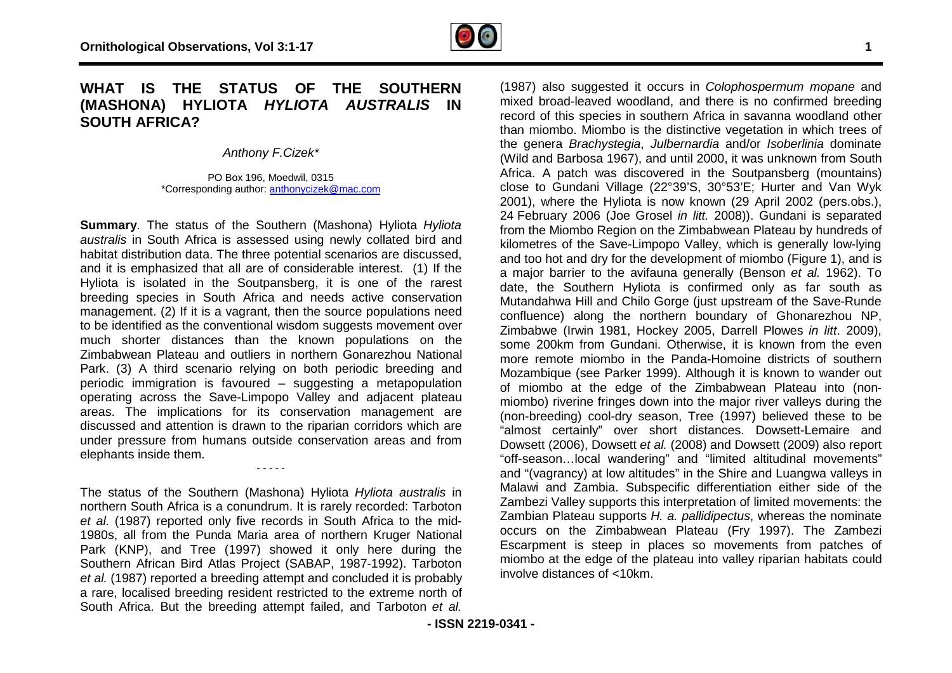## **WHAT IS THE STATUS OF THE SOUTHERN F(MASHONA) HYLIOTA** *HYLIOTA AUSTRALIS* **IN SOUTH AFRICA?**

*Anthony F.Cizek\** 

PO Box 196, Moedwil, 0315 \*Corresponding author: [anthonycizek@mac.com](mailto:anthonycizek@mac.com)

**Summary**. The status of the Southern (Mashona) Hyliota *Hyliota australis* in South Africa is assessed using newly collated bird and habitat distribution data. The three potential scenarios are discussed, and it is emphasized that all are of considerable interest. (1) If the Hyliota is isolated in the Soutpansberg, it is one of the rarest breeding species in South Africa and needs active conservation management. (2) If it is a vagrant, then the source populations need to be identified as the conventional wisdom suggests movement over much shorter distances than the known populations on the Zimbabwean Plateau and outliers in northern Gonarezhou National Park. (3) A third scenario relying on both periodic breeding and periodic immigration is favoured – suggesting a metapopulation operating across the Save-Limpopo Valley and adjacent plateau areas. The implications for its conservation management are discussed and attention is drawn to the riparian corridors which are under pressure from humans outside conservation areas elephants inside them. abitat distribution data. The three potential scenarios are discussed,<br>nd it is emphasized that all are of considerable interest. (1) If the<br>yliota is isolated in the Soutpansberg, it is one of the rarest<br>reeding species i

The status of the Southern (Mashona) Hyliota *Hyliota australis* in northern South Africa is a conundrum. It is rarely recorded: T Tarboton et al. (1987) reported only five records in South Africa to the mid-1980s, all from the Punda Maria area of northern Kruger National Park (KNP), and Tree (1997) showed it only here during the Park (KNP), and Tree (1997) showed it only here during the<br>Southern African Bird Atlas Project (SABAP, 1987-1992). Tarboton *et al.* (1987) reported a breeding attempt and concluded it is probably a rare, localised breeding resident restricted to the extreme north of South Africa. But the breeding attempt failed, and Tarboton *et al.* 

- - - - -

(1987) also suggested it occurs in *Colophospermum mopane* and mixed broad-leaved woodland, and there is no confirmed breeding record of this species in southern Africa in savanna woodland other than miombo. Miombo is the distinctive vegetation in which trees of the genera *Brachystegia*, *Julbernardia* and/or (Wild and Barbosa 1967), and until 2000, it was unknown from South Africa. A patch was discovered in the Soutpansberg (mountains) close to Gundani Village (22°39'S, 30°53'E; Hurter and Van Wyk 2001), where the Hyliota is now known (29 April 2002 (pers.obs.), 24 February 2006 (Joe Grosel *in litt.* 2008)). Gundani is separated from the Miombo Region on the Zimbabwean Plateau by hundreds of 2001), where the Hyliota is now known (29 April 2002 (pers.obs.), 24 February 2006 (Joe Grosel *in litt.* 2008)). Gundani is separated from the Miombo Region on the Zimbabwean Plateau by hundreds of kilometres of the Saveand too hot and dry for the development of miombo (Figure 1), and is a major barrier to the avifauna generally (Benson *et al.* 1962). To date, the Southern Hyliota is confirmed only as far south as Mutandahwa Hill and Chilo Gorge (just upstream of the Save Save-Runde confluence) along the northern boundary of Ghonarezhou NP, Zimbabwe (Irwin 1981, Hockey 2005, Darrell Plowes *in litt*. 2009), some 200km from Gundani. Otherwise, it is known from the even more remote miombo in the Panda-Homoine districts of southern Mozambique (see Parker 1999). Although it is known to wander out more remote miombo in the Panda-Homoine districts of southern<br>Mozambique (see Parker 1999). Although it is known to wander out<br>of miombo at the edge of the Zimbabwean Plateau into (nonmiombo) riverine fringes down into the major river valleys during the (non-breeding) cool-dry season, Tree (1997) believed these to be (non-breeding) cool-dry season, Tree (1997) believed these to be<br>"almost certainly" over short distances. Dowsett-Lemaire and Dowsett (2006), Dowsett *et al.* (2008) and Dowsett (2009) also report "off-season…local wandering" and "limited altitudinal movements" and "(vagrancy) at low altitudes" in the Shire and Luangwa valleys in Malawi and Zambia. Subspecific differentiation either side of the Zambezi Valley supports this interpretation of limited movements: the Zambian Plateau supports *H. a. pallidipectus*, whereas the nominate occurs on the Zimbabwean Plateau (Fry 1997). The Zambezi Escarpment is steep in places so movements from patches of miombo at the edge of the plateau into valley riparian habitats could involve distances of <10km. leaved woodland, and there is no confirmed breeding<br>species in southern Africa in savanna woodland other<br>*I* Miombo is the distinctive vegetation in which trees of<br>*Brachystegia, Julbernardia* and/or *Isoberlinia* dominate season...local<br>"(vagrancy) at<br>awi and Zaml<br>hbezi Valley su<br>hbian Plateau :<br>urs on the Z<br>arpment is st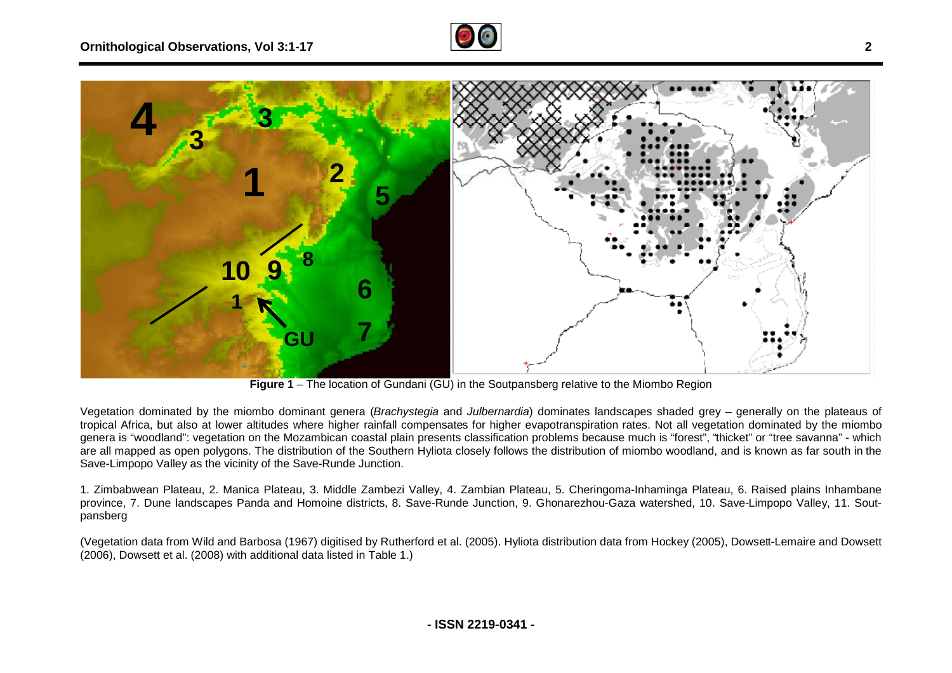



**Figure 1** – The location of Gundani (GU) in the Soutpansberg relative to the Miombo Region

Vegetation dominated by the miombo dominant genera (*Brachystegia* and *Julbernardia*) dominates landscapes shaded grey – generally on the plateaus of tropical Africa, but also at lower altitudes where higher rainfall compensates for higher evapotranspiration rates. Not all vegetation dominated by the miombo genera is "woodland": vegetation on the Mozambican coastal plain presents classification problems because much is "forest", "thicket" or "tree savanna" - which are all mapped as open polygons. The distribution of the Southern Hyliota closely follows the distribution of miombo woodland, and is known as far south in the Save-Limpopo Valley as the vicinity of the Save-Runde Junction. are all mapped as open polygons. The distribution of the Southern Hyliota closely follows the distribution of miombo woodland, and is known as far south in the<br>Save-Limpopo Valley as the vicinity of the Save-Runde Junction

province, 7. Dune landscapes Panda and Homoine districts, 8. Save-Runde Junction, 9. Ghonarezhou-Gaza watershed, 10. Save-Limpopo Valley, 11. Soutpansberg

(Vegetation data from Wild and Barbosa (1967) digitised by Rutherford et al. (2005). Hyliota distribution data from Hockey (2005), Dowset Dowsett-Lemaire and Dowsett (2006), Dowsett et al. (2008) with additional data listed in Table 1.)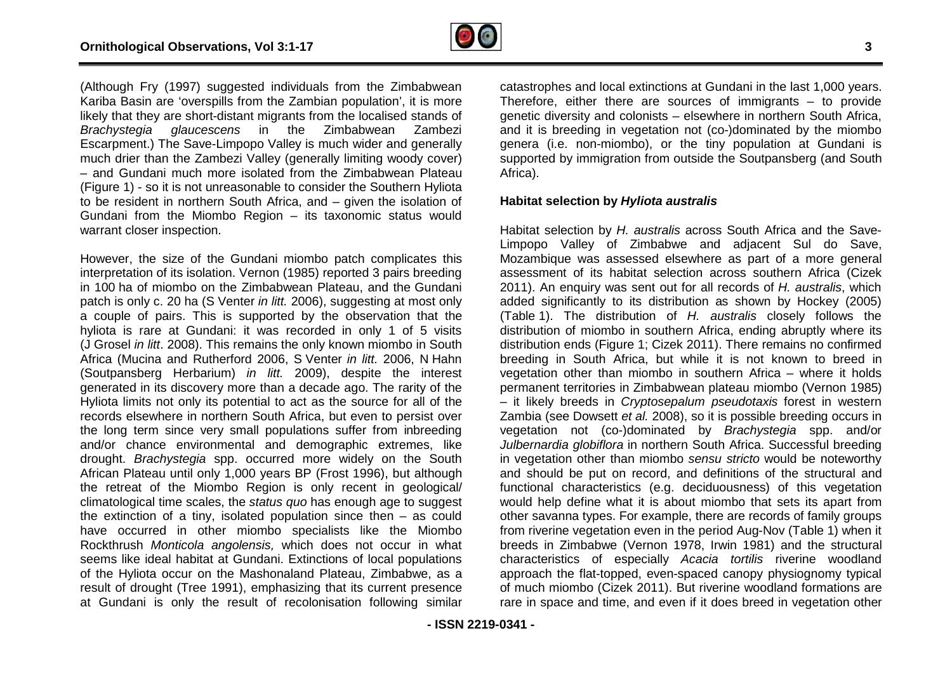

(Although Fry (1997) suggested individuals from the Zimbabwean Kariba Basin are 'overspills from the Zambian population', it is more likely that they are short-distant migrants from the localised stands of *Brachystegia glaucescens* in the Zimbabwean Zambezi Escarpment.) The Save-Limpopo Valley is much wider and generally much drier than the Zambezi Valley (generally limiting woody cover) – and Gundani much more isolated from the Zimbabwean Plateau (Figure 1) - so it is not unreasonable to consider the Southern Hyliota to be resident in northern South Africa, and – given the isolation of Gundani from the Miombo Region – its taxonomic status would warrant closer inspection. uggested individuals from the Zimbabwean<br>vills from the Zambian population', it is more<br>distant migrants from the localised stands of<br>cens in the Zimbabwean Zambezi<br>Limpopo Valley is much wider and generally<br>hbezi Valley (

However, the size of the Gundani miombo patch complicates this interpretation of its isolation. Vernon (1985) reported 3 pairs breeding in 100 ha of miombo on the Zimbabwean Plateau, and the Gundani patch is only c. 20 ha (S Venter *in litt.* 2006), suggesting at most only a couple of pairs. This is supported by the observation that the hyliota is rare at Gundani: it was recorded in only 1 of 5 visits (J Grosel *in litt*. 2008). This remains the only known miombo in South Africa (Mucina and Rutherford 2006, S Venter *in litt.* 2006, N Hahn (Soutpansberg Herbarium) *in litt.* 2009), despite the interest generated in its discovery more than a decade ago. The rarity of the Hyliota limits not only its potential to act as the source for all of the records elsewhere in northern South Africa, but even to persist over Hyliota limits not only its potential to act as the source for all of the<br>records elsewhere in northern South Africa, but even to persist over<br>the long term since very small populations suffer from inbreeding and/or chance environmental and demographic extremes, like drought. *Brachystegia* spp. occurred more widely on the South African Plateau until only 1,000 years BP (Frost 1996), but although the retreat of the Miombo Region is only recent in geological/ climatological time scales, the *status quo* has enough age to suggest the extinction of a tiny, isolated population since then – as could have occurred in other miombo specialists like the Miombo Rockthrush *Monticola angolensis,* which does not occur in what seems like ideal habitat at Gundani. Extinctions of local populations of the Hyliota occur on the Mashonaland Plateau, Zimbabwe, as a result of drought (Tree 1991), emphasizing that its current presence at Gundani is only the result of recolonisation following similar

catastrophes and local extinctions at Gundani in the last 1,000 years.<br>Therefore, either there are sources of immigrants – to provide genetic diversity and colonists – elsewhere in northern South Africa, and it is breeding in vegetation not (co-)dominated by the miombo genera (i.e. non-miombo), or the tiny population at Gundani is supported by immigration from outside the Soutpansberg (and South Africa). miombo), or the tiny population at Gundani is<br>igration from outside the Soutpansberg (and South<br>by Hyliota australis<br>oy H. australis across South Africa and the Save-

#### **Habitat selection by** *Hyliota australis*

ns Fig. (1987) auggested into distributed from the Dimension catalogical extinctions at Gundani in the last 1,000 years.<br>Therefore, either the second local extinctions at Gundani in the last 1,000 years and the results of Habitat selection by *H. australis* across South Africa and the Save Limpopo Valley of Zimbabwe and adjacent Sul do Save, Mozambique was assessed elsewhere as part of a more general assessment of its habitat selection across southern Africa (Cizek 2011). An enquiry was sent out for all records of *H. australis*, which added significantly to its distribution as shown by Hockey (2005) (Table 1). The distribution of *H. australis* closely follows the distribution of miombo in southern Africa, ending abruptly where its distribution ends (Figure 1; Cizek 2011). There remains no confirmed breeding in South Africa, but while it is not known to breed in vegetation other than miombo in southern Africa – where it holds permanent territories in Zimbabwean plateau miombo (Vernon 1985) – it likely breeds in *Cryptosepalum pseudotaxis* forest in western Zambia (see Dowsett *et al.* 2008), so it is possible breeding occurs in vegetation not (co-)dominated by *Brachystegia* spp. and/or *Julbernardia globiflora* in northern South Africa. Successful breeding in vegetation other than miombo *sensu stricto* would be noteworthy and should be put on record, and definitions of the structural and functional characteristics (e.g. deciduousness) of this vegetation would help define what it is about miombo that sets its apart from other savanna types. For example, there are records of family groups other savanna types. For example, there are records of family groups<br>from riverine vegetation even in the period Aug-Nov (Table 1) when it breeds in Zimbabwe (Vernon 1978, Irwin 1981) and the structural characteristics of especially *Acacia tortilis* riverine woodland approach the flat-topped, even-spaced canopy physiognomy typical of much miombo (Cizek 2011). But riverine woodland formations are rare in space and time, and even if it does breed in vegetation other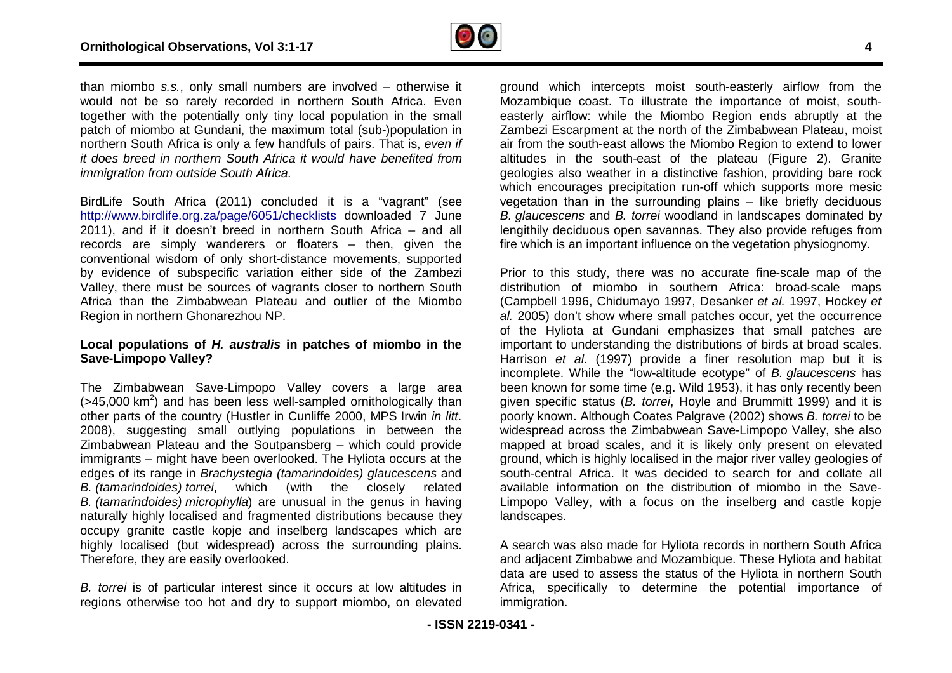

than miombo *s.s.*, only small numbers are involved – otherwise it would not be so rarely recorded in northern South Africa. Even together with the potentially only tiny local population in the small patch of miombo at Gundani, the maximum total (sub-)population in northern South Africa is only a few handfuls of pairs. That is, *even if it does breed in northern South Africa it would have benefited from immigration from outside South Africa*.

BirdLife South Africa (2011) concluded it is a "vagrant" (see <http://www.birdlife.org.za/page/6051/checklists> downloaded 7 June 2011), and if it doesn't breed in northern South Africa – and all records are simply wanderers or floaters – then, given the conventional wisdom of only short-distance movements, supported conventional wisdom of only short-distance movements, supported<br>by evidence of subspecific variation either side of the Zambezi Valley, there must be sources of vagrants closer to northern South Africa than the Zimbabwean Plateau and outlier of the Miombo Region in northern Ghonarezhou NP.

#### **Local populations of** *H. australis* **in patches of miom miombo in the Save-Limpopo Valley?**

The Zimbabwean Save-Limpopo Valley covers a large area The Zimbabwean Save-Limpopo Valley covers a large area<br>(>45,000 km<sup>2</sup>) and has been less well-sampled ornithologically than other parts of the country (Hustler in Cunliffe 2000, MPS Irwin *in litt*. 2008), suggesting small outlying populations in between the Zimbabwean Plateau and the Soutpansberg – which could provide immigrants – might have been overlooked. The Hyliota occurs at the edges of its range in *Brachystegia (tamarindoides) glaucescens* and *B. (tamarindoides) torrei*, which (with the closely related *B. (tamarindoides) microphylla*) are unusual in the genus in having naturally highly localised and fragmented distributions because they occupy granite castle kopje and inselberg landscapes which are highly localised (but widespread) across the surrounding plains. Therefore, they are easily overlooked. ing populations in<br>outpansberg – which<br>/erlooked. The Hyliota

*B. torrei* is of particular interest since it occurs at low altitudes in regions otherwise too hot and dry to support miombo, on elevated

ground which intercepts moist south-easterly airflow from the<br>Mozambique coast. To illustrate the importance of moist, southeasterly airflow: while the Miombo Region ends abruptly at the Zambezi Escarpment at the north of the Zimbabwean Plateau, moist air from the south-east allows the Miombo Region to extend to lower altitudes in the south-east of the plateau (Figure 2). Granite geologies also weather in a distinctive fashion, providing bare rock which encourages precipitation run-off which supports more mesic vegetation than in the surrounding plains – like briefly deciduous *B. glaucescens* and *B. torrei* woodland in landscapes dominated by lengithily deciduous open savannas. They also provide refuges from fire which is an important influence on the vegetation physiognomy. east of the<br>in a distinctive<br>pitation run-off

nal numbers are involved – otherwise it in ground which intercepts moist south-easterly airflow from the sy only timp of the Minambers are involved in northern South Africa. Even Mozambique coast. To illustrate the importa Prior to this study, there was no accurate fine fine-scale map of the distribution of miombo in southern Africa: broad-scale maps (Campbell 1996, Chidumayo 1997, Desanker *et al.* 1997, Hockey *et al.* 2005) don't show where small patches occur, yet the occurrence of the Hyliota at Gundani emphasizes that small patches are important to understanding the distributions of birds at broad scales. Harrison *et al.* (1997) provide a finer resolution map but it is incomplete. While the "low-altitude ecotype" of B. glaucescens has been known for some time (e.g. Wild 1953), it has only recently been given specific status (*B. torrei*, Hoyle and Brummitt 1999) and it is poorly known. Although Coates Palgrave (2002) shows *B. torrei* to be widespread across the Zimbabwean Save-Limpopo Valley, she also mapped at broad scales, and it is likely only present on elevated ground, which is highly localised in the major river valley geologies of south-central Africa. It was decided to search for and collate all available information on the distribution of miombo Limpopo Valley, with a focus on the inselberg and castle kopje landscapes. ere small patches occur, yet the occurrence<br>dani emphasizes that small patches are<br>ng the distributions of birds at broad scales.<br>provide a finer resolution map but it is<br>ow-altitude ecotype" of *B. glaucescens* has lespread across the Zimbabwean Save-Limpopo Valley, she also<br>pped at broad scales, and it is likely only present on elevated<br>und, which is highly localised in the major river valley geologies of<br>uth-central Africa. It was

A search was also made for Hyliota records in northern South Africa A search was also made for Hyliota records in northern South Africa<br>and adjacent Zimbabwe and Mozambique. These Hyliota and habitat data are used to assess the status of the Hyliota in northern South Africa, specifically to determine the potential importance of immigration.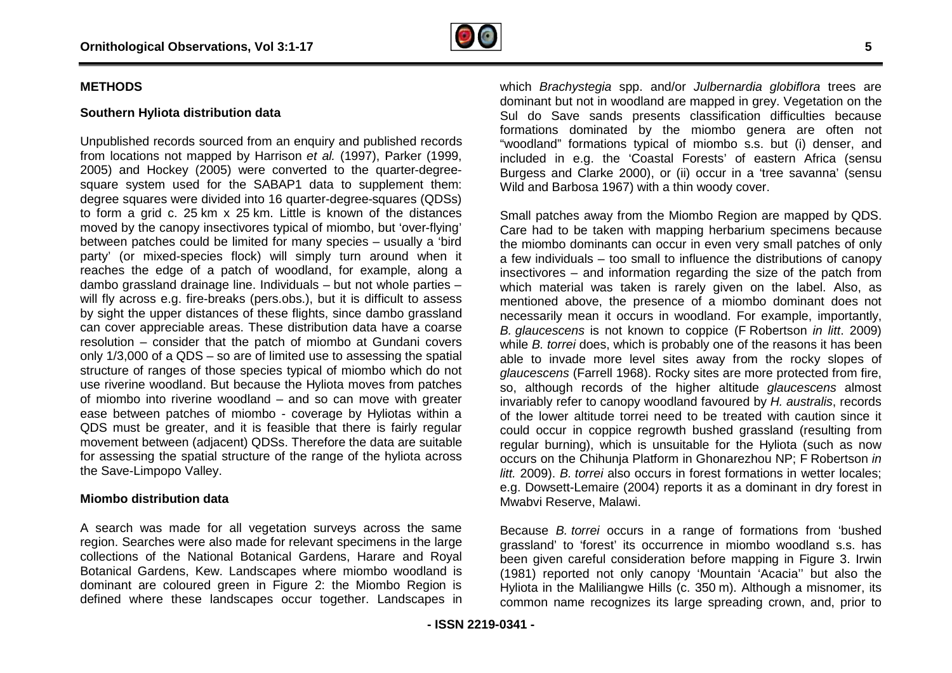

#### **Southern Hyliota distribution data**

Unpublished records sourced from an enquiry and published records from locations not mapped by Harrison *et al.* (1997), Parker (1999, 2005) and Hockey (2005) were converted to the quarter quarter-degreesquare system used for the SABAP1 data to supplement them: degree squares were divided into 16 quarter-degree-squares (QDSs) to form a grid c. 25 km x 25 km. Little is known of the distances moved by the canopy insectivores typical of miombo, but 'over-flying' between patches could be limited for many species – usually a 'bird party' (or mixed-species flock) will simply turn around when it reaches the edge of a patch of woodland, for example, along a dambo grassland drainage line. Individuals – but not whole parties will fly across e.g. fire-breaks (pers.obs.), but it is difficult to assess by sight the upper distances of these flights, since dambo grassland can cover appreciable areas. These distribution data have a coarse resolution – consider that the patch of miombo at Gundani covers only 1/3,000 of a QDS – so are of limited use to assessing the spatial structure of ranges of those species typical of miombo which do not use riverine woodland. But because the Hyliota moves from patches of miombo into riverine woodland – and so can move with greater ease between patches of miombo - coverage by Hyliotas within a QDS must be greater, and it is feasible that there is fairly regular movement between (adjacent) QDSs. Therefore the data are suitable for assessing the spatial structure of the range of the hyliota across the Save-Limpopo Valley. squares (QDSs)<br>of the distances<br>, but 'over-flying' species flock) will simply turn around when it<br>e of a patch of woodland, for example, along a<br>drainage line. Individuals – but not whole parties – cross e.g. fire-breaks (pers.obs.), but it is difficult to assess<br>the upper distances of these flights, since dambo grassland<br>r appreciable areas. These distribution data have a coarse<br> $n -$  consider that the patch of miom yliota moves from patches<br>so can move with greater<br>erage by Hyliotas within a<br>that there is fairly regular

#### **Miombo distribution data**

A search was made for all vegetation surveys across the same region. Searches were also made for relevant specimens in the large collections of the National Botanical Gardens, Harare and Royal Botanical Gardens, Kew. Landscapes where miombo woodland is dominant are coloured green in Figure 2: the Miombo Regio Region is defined where these landscapes occur together. Landscapes in

which *Brachystegia* spp. and/or *Julbernardia globiflora* trees are dominant but not in woodland are mapped in grey. Vegetation on the Sul do Save sands presents classification difficulties bec because formations dominated by the miombo genera are often not "woodland" formations typical of miombo s.s. but (i) denser, and included in e.g. the 'Coastal Forests' of eastern Africa (sensu Burgess and Clarke 2000), or (ii) occur in a 'tree savanna' (sensu Wild and Barbosa 1967) with a thin woody cover.

Small patches away from the Miombo Region are mapped by QDS. Care had to be taken with mapping herbarium specimens because the miombo dominants can occur in even very small patches of only a few individuals – too small to influence the distributions of canopy insectivores – and information regarding the size of the patch from which material was taken is rarely given on the label. Also, as mentioned above, the presence of a miombo dominant does not necessarily mean it occurs in woodland. For example, importantly, *B. glaucescens* is not known to coppice (F Robertson *in litt*. 2009) while *B. torrei* does, which is probably one of the reasons it has been able to invade more level sites away from the rocky slopes of *glaucescens* (Farrell 1968). Rocky sites are more protected from fire, so, although records of the higher altitude *glaucescens* almost invariably refer to canopy woodland favoured by *H. australis*, records of the lower altitude torrei need to be treated with caution since it could occur in coppice regrowth bushed grassland (resulting from regular burning), which is unsuitable for the Hyliota (such as now occurs on the Chihunja Platform in Ghonarezhou NP; F Robertson *in litt.* 2009). *B. torrei* also occurs in forest formations in wetter locales; e.g. Dowsett-Lemaire (2004) reports it as a dominant in dry forest in Mwabvi Reserve, Malawi. litt. 2009). B. torrei also occurs in forest formations in wetter locales;<br>e.g. Dowsett-Lemaire (2004) reports it as a dominant in dry forest in<br>Mwabvi Reserve, Malawi.<br>Because B. torrei occurs in a range of formations fro

Because *B. torrei* occurs in a range of formations from 'bushed been given careful consideration before mapping in Figure 3. Irwin (1981) reported not only canopy 'Mountain 'Acacia'' but also the Hyliota in the Maliliangwe Hills (c. 350 m). Although a misnomer, its common name recognizes its large spreading crown, and, prior to ountain 'Acacia'' but also the<br>0 m). Although a misnomer, its<br>spreading crown, and, prior to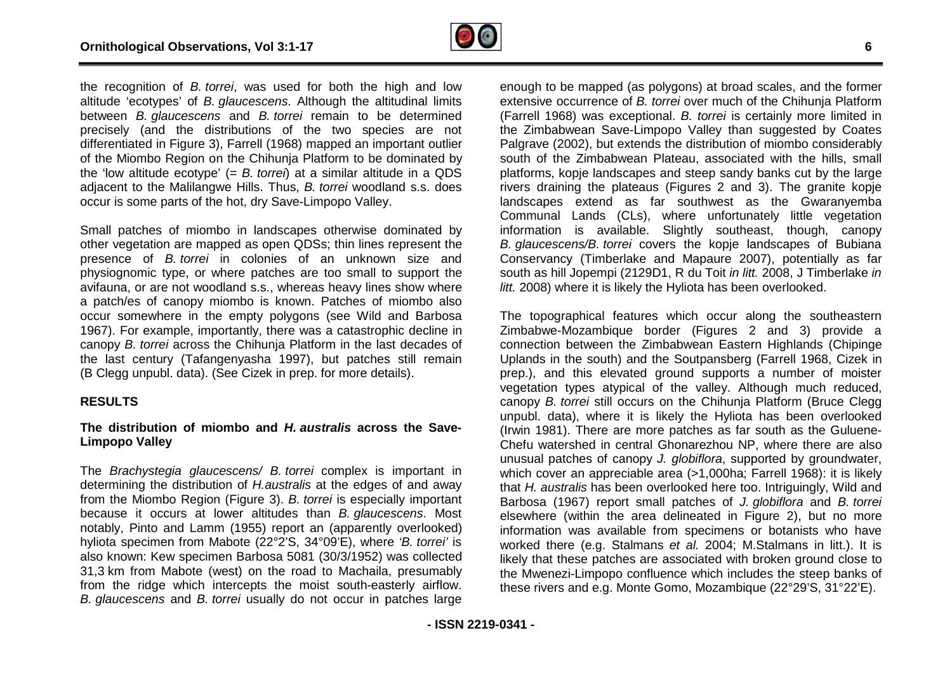

the recognition of *B. torrei*, was used for both the high and low altitude 'ecotypes' of *B. glaucescens*. Although the altitudinal limits between *B. glaucescens* and *B. torrei* remain to be determined precisely (and the distributions of the two species are not differentiated in Figure 3), Farrell (1968) mapped an important outlier of the Miombo Region on the Chihunja Platform to be dominated by the 'low altitude ecotype' (= *B. torrei*) at a similar altitude in a QDS adjacent to the Malilangwe Hills. Thus, *B. torrei* woodland s.s. does occur is some parts of the hot, dry Save-Limpopo Valley.

Small patches of miombo in landscapes otherwise dominated by other vegetation are mapped as open QDSs; thin lines represent the presence of *B. torrei* in colonies of an unknown size and physiognomic type, or where patches are too small to support the avifauna, or are not woodland s.s., whereas heavy lines show where a patch/es of canopy miombo is known. Patches of miombo also occur somewhere in the empty polygons (see Wild and Barbosa 1967). For example, importantly, there was a catastrophic decline in canopy *B. torrei* across the Chihunja Platform in the last decades of the last century (Tafangenyasha 1997), but patches still remain (B Clegg unpubl. data). (See Cizek in prep. for more details). s of the two species<br>(1968) mapped an impor<br>ihunja Platform to be dor<br>*orrrei*) at a similar altitude<br>Thus, *B. torrei* woodland<br>*r* Save-Limpopo Valley.<br>ndscapes otherwise dom<br>ppen QDSs; thin lines rep<br>nies of an unknown<br>

#### **RESULTS**

#### **The distribution of miombo and** *H. australis* **across the Save Save-Limpopo Valley**

The *Brachystegia glaucescens/ B. torrei* complex is important in determining the distribution of *H.australis* at the edges of and away from the Miombo Region (Figure 3). *B. torrei* is especially important because it occurs at lower altitudes than *B. glaucescens* . Most notably, Pinto and Lamm (1955) report an (apparently overlooked) hyliota specimen from Mabote (22°2'S, 34°09'E), where *'B. torrei'* is also known: Kew specimen Barbosa 5081 (30/3/1952) was collected 31,3 km from Mabote (west) on the road to Machaila, presumably from the ridge which intercepts the moist south-easterly airflow. *B. glaucescens* and *B. torrei* usually do not occur in patches large enough to be mapped (as polygons) at broad scales, and the former extensive occurrence of *B. torrei* over much of the Chihunja Platform (Farrell 1968) was exceptional. *B. torrei* is certainly more limited in the Zimbabwean Save-Limpopo Valley than suggested by Coates Palgrave (2002), but extends the distribution of miombo considerably south of the Zimbabwean Plateau, associated with the hills, small platforms, kopje landscapes and steep sandy banks cut by the large rivers draining the plateaus (Figures 2 and 3). The granite kopje landscapes extend as far southwest as the Gwaranyemba Communal Lands (CLs), where unfortunately little vegetation information is available. Slightly southeast, though, canopy *B. glaucescens/B. torrei* covers the kopje landscapes of Bubiana Conservancy (Timberlake and Mapaure 2007), potentially as far south as hill Jopempi (2129D1, R du Toit *in litt.* 2008, J Timberlake *in litt.* 2008) where it is likely the Hyliota has been overlooked.

The topographical features which occur along the southeastern Zimbabwe-Mozambique border (Figures 2 and 3) provide a connection between the Zimbabwean Eastern Highlands (Chipinge Uplands in the south) and the Soutpansberg (Farrell 1968, Cizek in prep.), and this elevated ground supports a number of moister vegetation types atypical of the valley. Although much reduced, canopy *B. torrei* still occurs on the Chihunja Platform (Bruce Clegg unpubl. data), where it is likely the Hyliota has been overlooked unpubl. data), where it is likely the Hyliota has been overlooked<br>(Irwin 1981). There are more patches as far south as the Guluene-Chefu watershed in central Ghonarezhou NP, where there are also unusual patches of canopy *J. globiflora*, supported by groundwater, which cover an appreciable area (>1,000ha; Farrell 1968): it is likely that *H. australis* has been overlooked here too. Intriguingly, Wild and reBarbosa (1967) report small patches of *J. globiflora* and *B. torrei* elsewhere (within the area delineated in Figure 2), but no more information was available from specimens or botanists who have worked there (e.g. Stalmans *et al.* 2004; M.Stalmans in litt.). It is likely that these patches are associated with broken ground close to the Mwenezi-Limpopo confluence which includes the steep banks of these rivers and e.g. Monte Gomo, Mozambique (22°29'S, 31°22'E).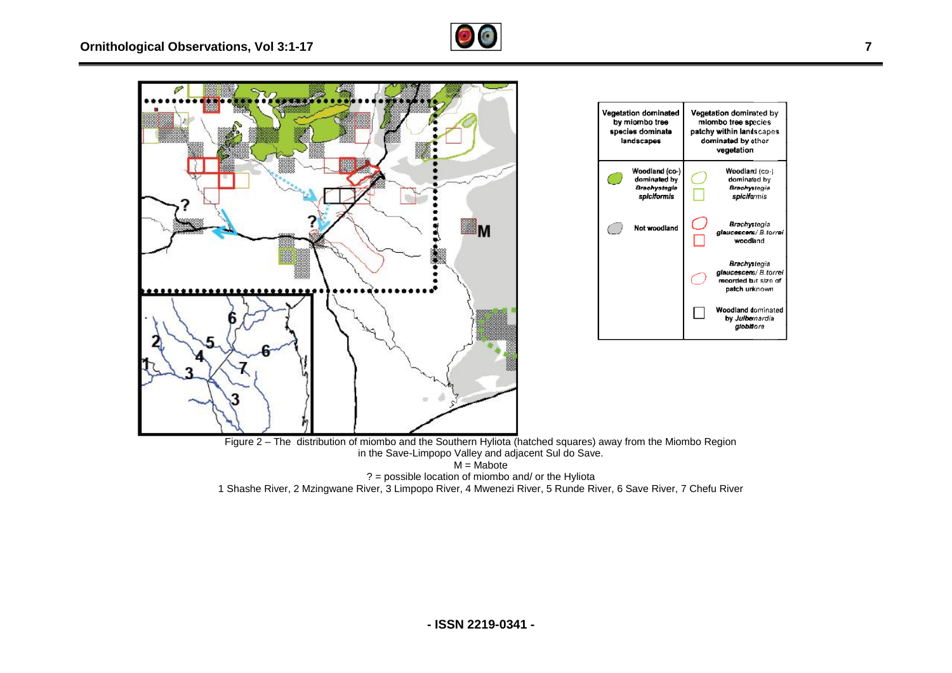





? = possible location of miombo and/ or the Hyliota

1 Shashe River, 2 Mzingwane River, 3 Limpopo River, 4 Mwenezi River, 5 Runde River, 6 Save River, 7 Chefu River

Vegetation dominated by

miombo tree species

patchy within landscapes dominated by other

vegetation

Woodland (co-)<br>dominated by

**Brachystegia** 

spiciformis

Brachystegia

dlaucescens/B.torrei woodland

Brachystegia glaucescens/ B.torrei<br>recorded but size of patch unknown

**Woodland dominated** by Julbernardia globhora

landscapes

Woodland (co-) dominated by **Brachystegia** 

spiciformis

Not woodland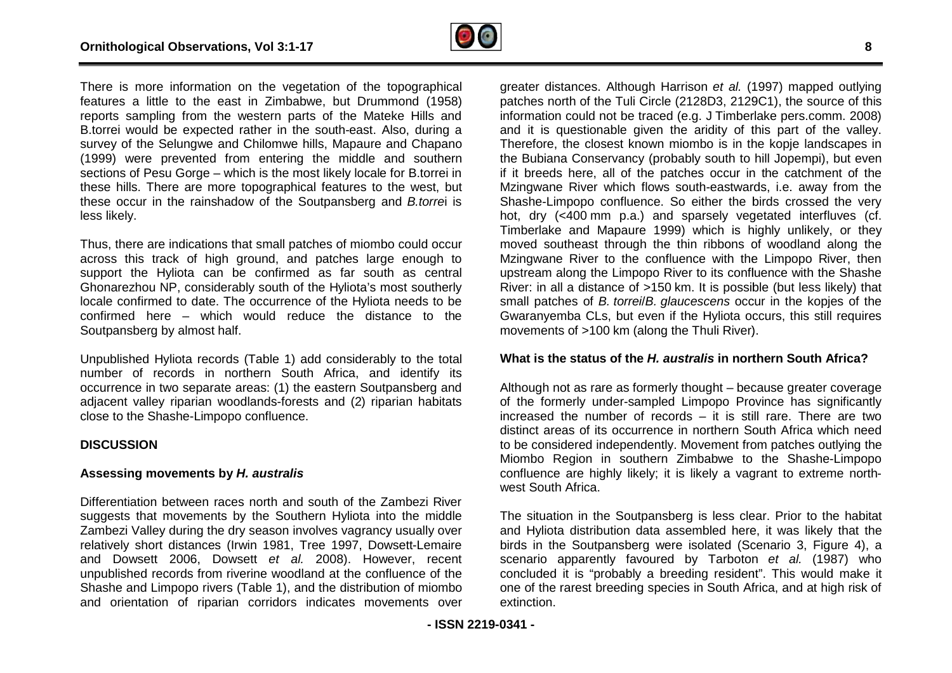

There is more information on the vegetation of the topographical features a little to the east in Zimbabwe, but Drummond (1958) reports sampling from the western parts of the Mateke Hills and B.torrei would be expected rather in the south-east. Also, during a survey of the Selungwe and Chilomwe hills, Mapaure and Chapano (1999) were prevented from entering the middle and southern sections of Pesu Gorge – which is the most likely locale for B.torrei in these hills. There are more topographical features to the west, but these occur in the rainshadow of the Soutpansberg and *B.torre*i is less likely. east. Also, during a<br>paure and Chapano<br>iddle and southern<br><sup>,</sup> locale for B.torrei in

Thus, there are indications that small patches of miombo could occur across this track of high ground, and patches large enough to support the Hyliota can be confirmed as far south as central Ghonarezhou NP, considerably south of the Hyliota's most southerly locale confirmed to date. The occurrence of the Hyliota needs to be across this track of high ground, and patches large enough to<br>support the Hyliota can be confirmed as far south as central<br>Ghonarezhou NP, considerably south of the Hyliota's most southerly<br>locale confirmed to date. The oc Soutpansberg by almost half.

Unpublished Hyliota records (Table 1) add considerably to the total number of records in northern South Africa, and identify its occurrence in two separate areas: (1) the eastern Soutpansbe adjacent valley riparian woodlands-forests and (2) riparian habitats close to the Shashe-Limpopo confluence. yliota records (Table 1) add considerably to the total<br>cords in northern South Africa, and identify its<br>wo separate areas: (1) the eastern Soutpansberg and ) riparian habitats<br>he Zambezi River

#### **DISCUSSION**

#### **Assessing movements by** *H. australis*

Differentiation between races north and south of the Zambezi R suggests that movements by the Southern Hyliota into the middle Zambezi Valley during the dry season involves vagrancy usually over relatively short distances (Irwin 1981, Tree 1997, Dowsett-Lemaire and Dowsett 2006, Dowsett *et al.* 2008). However, recent unpublished records from riverine woodland at the confluence of the Shashe and Limpopo rivers (Table 1), and the distribution of miombo and orientation of riparian corridors indicates movements over

greater distances. Although Harrison *et al.* (1997) mapped outlying patches north of the Tuli Circle (2128D3, 2129C1), the source of this information could not be traced (e.g. J Timberlake pers.comm. 2008) and it is questionable given the aridity of this part of the valley. Therefore, the closest known miombo is in the kopje landscapes in the Bubiana Conservancy (probably south to hill Jopempi), but even if it breeds here, all of the patches occur in the catchment of the Mzingwane River which flows south-eastwards, i.e. away from the Mzingwane River which flows south-eastwards, i.e. away from the<br>Shashe-Limpopo confluence. So either the birds crossed the very hot, dry (<400 mm p.a.) and sparsely vegetated interfluves (cf. Timberlake and Mapaure 1999) which is highly unlikely, or they moved southeast through the thin ribbons of woodland along the Mzingwane River to the confluence with the Limpopo R River, then upstream along the Limpopo River to its confluence with the Shashe River: in all a distance of >150 km. It is possible (but less likely) that small patches of *B. torrei*/*B. glaucescens* occur in the kopjes of the Gwaranyemba CLs, but even if the Hyliota occurs, this still requires movements of >100 km (along the Thuli River). Gwaranyemba CLs, but even if the Hyliota occurs, this still requires<br>movements of >100 km (along the Thuli River).<br>What is the status of the *H. australis* in northern South Africa?<br>Although not as rare as formerly thought

#### **What is the status of the** *H. australis* **in northern South Africa?**

Although not as rare as formerly thought – because greater coverage increased the number of records – it is still rare. There are two distinct areas of its occurrence in northern South Africa which need to be considered independently. Movement from patches outlying the Miombo Region in southern Zimbabwe to the Shashe-Limpopo confluence are highly likely; it is likely a vagrant to extreme northwest South Africa.

The situation in the Soutpansberg is less clear. Prior to the habitat and Hyliota distribution data assembled here, it was likely that the and Hyliota distribution data assembled here, it was likely that the<br>birds in the Soutpansberg were isolated (Scenario 3, Figure 4), a scenario apparently favoured by Tarboton *et al.* (1987) who concluded it is "probably a breeding resident". This would make it one of the rarest breeding species in South Africa, and at high risk of extinction.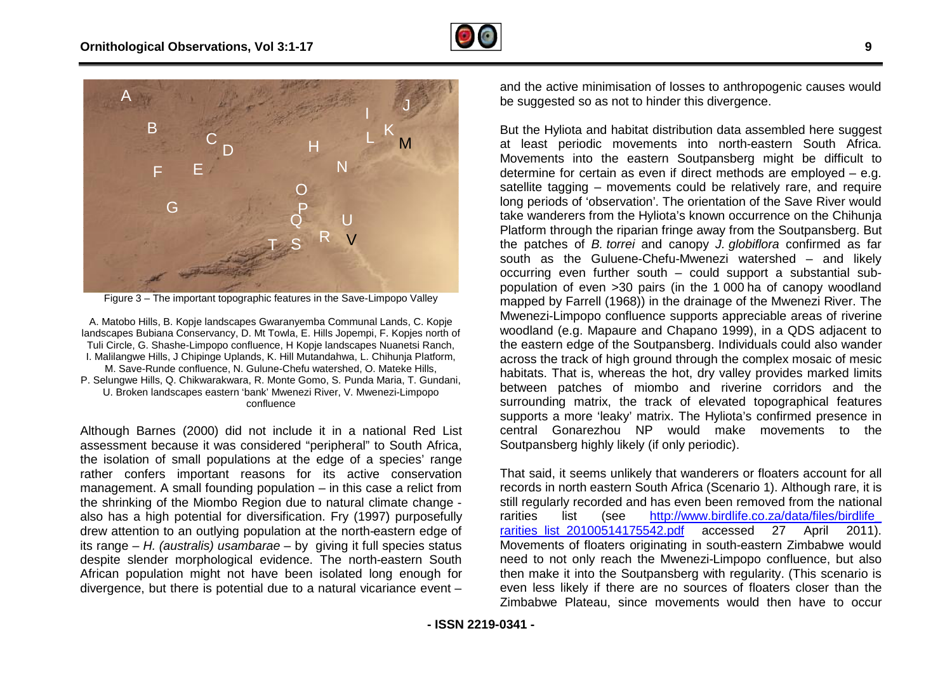



Figure 3 – The important topographic features in the Save-Limpopo Valley

Figure 3 – The important topographic features in the Save-Limpopo Valley<br>A. Matobo Hills, B. Kopje landscapes Gwaranyemba Communal Lands, C. Kopje landscapes Bubiana Conservancy, D. Mt Towla, E. Hills Jopempi, F. . Kopjes north of Tuli Circle, G. Shashe-Limpopo confluence, H Kopje landscapes Nuanetsi Ranch Ranch, I. Malilangwe Hills, J Chipinge Uplands, K. Hill Mutandahwa, L. Chihunja Platform Platform, M. Save-Runde confluence, N. Gulune-Chefu watershed, O. Mateke Hills, P. Selungwe Hills, Q. Chikwarakwara, R. Monte Gomo, S. Punda Maria Maria, T. Gundani, U. Broken landscapes eastern 'bank' Mwenezi River, V. Mwenezi-Limpopo confluence

Although Barnes (2000) did not include it in a national Red List assessment because it was considered "peripheral" to South Africa, the isolation of small populations at the edge of a species' range rather confers important reasons for its active conservation management. A small founding population – in this case a relict from the shrinking of the Miombo Region due to natural climate change also has a high potential for diversification. Fry (1997) purposefully drew attention to an outlying population at the north-eastern edge of its range – *H. (australis) usambarae* – by giving it full species status despite slender morphological evidence. The north-eastern South African population might not have been isolated long enough for divergence, but there is potential due to a natural vicariance event as considered "peripheral" to South Africa,<br>bulations at the edge of a species' range<br>it reasons for its active conservation<br>nding population – in this case a relict from<br>bo Region due to natural climate change eastern edge of<br>Il species status<br>n-eastern–South<br>ong–enough–for<br>cariance event–

and the active minimisation of losses to anthropogenic causes would be suggested so as not to hinder this divergence.

But the Hyliota and habitat distribution data assembled here suggest at least periodic movements into north-eastern South Africa. Movements into the eastern Soutpansberg might be difficult to determine for certain as even if direct methods are employed satellite tagging – movements could be relatively rare, and require long periods of 'observation'. The orientation of the Save River would long periods of 'observation'. The orientation of the Save River would<br>take wanderers from the Hyliota's known occurrence on the Chihunja Platform through the riparian fringe away from the Soutpansberg. But the patches of *B. torrei* and canopy *J. globiflora* confirmed as far south as the Guluene-Chefu-Mwenezi watershed – and likely occurring even further south – could support a substantial subpopulation of even >30 pairs (in the 1 000 ha of canopy woodland mapped by Farrell (1968)) in the drainage of the Mwenezi R River. The Mwenezi-Limpopo confluence supports appreciable areas of riverine woodland (e.g. Mapaure and Chapano 1999), in a QDS adjacent to the eastern edge of the Soutpansberg. Individuals could also wander across the track of high ground through the complex mosaic of mesic habitats. That is, whereas the hot, dry valley provides marked limits between patches of miombo and riverine corridors and the surrounding matrix, the track of elevated topographical features supports a more 'leaky' matrix. The Hyliota's confirmed presence in central Gonarezhou NP would make movements to the Soutpansberg highly likely (if only periodic). yliota and habitat distribution data assembled here suggest<br>periodic movements into north-eastern South Africa.<br>ts into the eastern Soutpansberg might be difficult to<br>export for certain as even if direct methods are employ Limpopo confluence supports appreciable areas of riverine (e.g. Mapaure and Chapano 1999), in a QDS adjacent to m edge of the Soutpansberg. Individuals could also wander track of high ground through the complex mosaic of m

That said, it seems unlikely that wanderers or floaters account for all records in north eastern South Africa (Scenario 1). Although rare, it is still regularly recorded and has even been removed from the national rarities list (see http://www.birdlife.co.za/data/files/birdlife rarities list 20100514175542.pdf accessed 27 April 2011). Movements of floaters originating in south-eastern Zimbabwe would need to not only reach the Mwenezi-Limpopo confluence, but also then make it into the Soutpansberg with regularity. (This scenario is even less likely if there are no sources of floaters closer than the Zimbabwe Plateau, since movements would then have to occur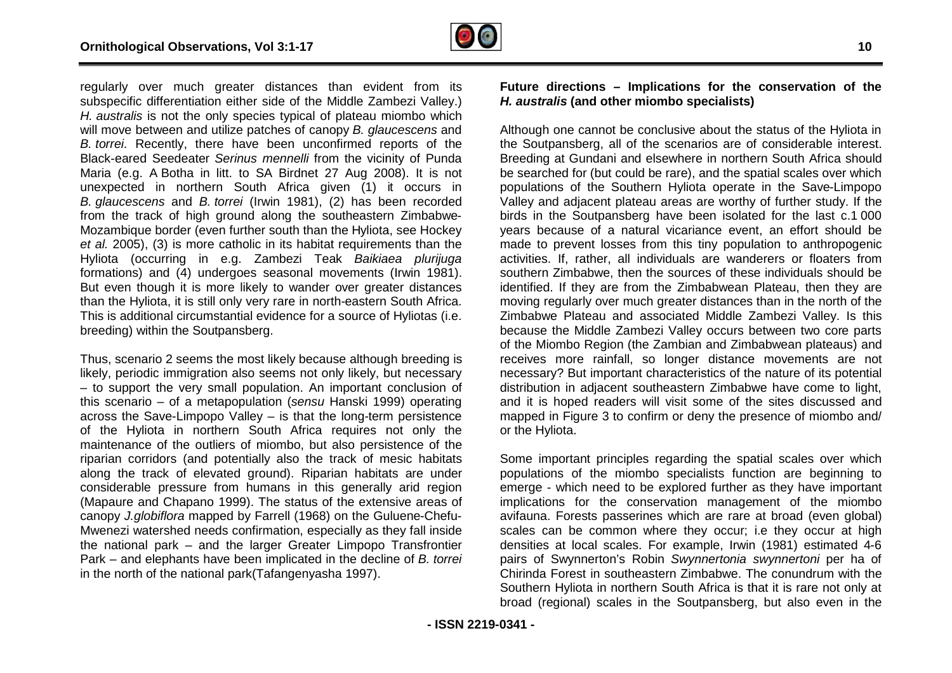

regularly over much greater distances than evident from its subspecific differentiation either side of the Middle Zambezi Valley.) *H. australis* is not the only species typical of plateau miombo which will move between and utilize patches of canopy *B. glaucescens* and *B. torrei*. Recently, there have been unconfirmed reports of the Black-eared Seedeater *Serinus mennelli* from the vicinity of Punda Maria (e.g. A Botha in litt. to SA Birdnet 27 Aug 2008). It is not unexpected in northern South Africa given (1) i it occurs in *B. glaucescens* and *B. torrei* (Irwin 1981), (2) has been recorded from the track of high ground along the southeastern Zimbabwe Zimbabwe-Mozambique border (even further south than the Hyliota, see Hockey *et al.* 2005), (3) is more catholic in its habitat requirements than the Hyliota (occurring in e.g. Zambezi Teak *Baikiaea plurijuga* formations) and (4) undergoes seasonal movements (Irwin 1981). But even though it is more likely to wander over greater distances than the Hyliota, it is still only very rare in north-eastern South Africa. This is additional circumstantial evidence for a source of Hyliotas (i.e. breeding) within the Soutpansberg. further south than the Hyliota, see Hockey<br>tholic in its habitat requirements than the<br>g. Zambezi Teak *Baikiaea plurijuga*<br>goes seasonal movements (Irwin 1981).<br>e likely to wander over greater distances<br>nly very rare in n

Thus, scenario 2 seems the most likely because although breeding is likely, periodic immigration also seems not only likely, but necessary – to support the very small population. An important conclusion of this scenario – of a metapopulation (*sensu* Hanski 1999) operating across the Save-Limpopo Valley – is that the long-term persistence of the Hyliota in northern South Africa requires not only the maintenance of the outliers of miombo, but also persistence of the riparian corridors (and potentially also the track of mesic habitats along the track of elevated ground). Riparian habitats are under considerable pressure from humans in this generally arid region (Mapaure and Chapano 1999). The status of the extensive areas of canopy *J.globiflora* mapped by Farrell (1968) on the Guluene Mwenezi watershed needs confirmation, especially as they fall inside the national park – and the larger Greater Limpopo Transfrontier Park – and elephants have been implicated in the decline of *B. torrei* in the north of the national park(Tafangenyasha 1997). also seems not only likely, but necessary<br>all population. An important conclusion of<br>oopulation (sensu Hanski 1999) operating<br>Valley – is that the long-term persistence<br>rn South Africa requires not only the<br>s of miombo, bu

#### **Future directions – Implications for the conservation of the**  *H. australis* **(and other miombo specialists) er**

Although one cannot be conclusive about the status of the Hyliota in the Soutpansberg, all of the scenarios are of considerable interest. Breeding at Gundani and elsewhere in northern South Africa should be searched for (but could be rare), and the spatial scales over which be searched for (but could be rare), and the spatial scales over which<br>populations of the Southern Hyliota operate in the Save-Limpopo Valley and adjacent plateau areas are worthy of further study. If the birds in the Soutpansberg have been isolated for the last c.1 000 years because of a natural vicariance event, an effort should be made to prevent losses from this tiny population to anthropogenic activities. If, rather, all individuals are wanderers or floaters from southern Zimbabwe, then the sources of these individuals should be identified. If they are from the Zimbabwean Plateau, then they are moving regularly over much greater distances than in the north of the Zimbabwe Plateau and associated Middle Zambezi Valley. Is this because the Middle Zambezi Valley occurs between two core parts of the Miombo Region (the Zambian and Zimbabwean plateaus) and receives more rainfall, so longer distance movements are not necessary? But important characteristics of the nature of its potential distribution in adjacent southeastern Zimbabwe have come to light, and it is hoped readers will visit some of the sites discussed and mapped in Figure 3 to confirm or deny the presence of miombo and/ or the Hyliota.

Some important principles regarding the spatial scales over which populations of the miombo specialists function are beginning to emerge - which need to be explored further as they have important implications for the conservation management of the miombo avifauna. Forests passerines which are rare at broad (even global) scales can be common where they occur; i.e they occur at high populations of the miombo specialists function are beginning to emerge - which need to be explored further as they have important implications for the conservation management of the miombo avifauna. Forests passerines whic pairs of Swynnerton's Robin Swynnertonia swynnertoni per ha of Chirinda Forest in southeastern Zimbabwe. The conundrum with the Southern Hyliota in northern South Africa is that it is rare not only at broad (regional) scales in the Soutpansberg, but also even in the

**- ISSN 2219-0341 -**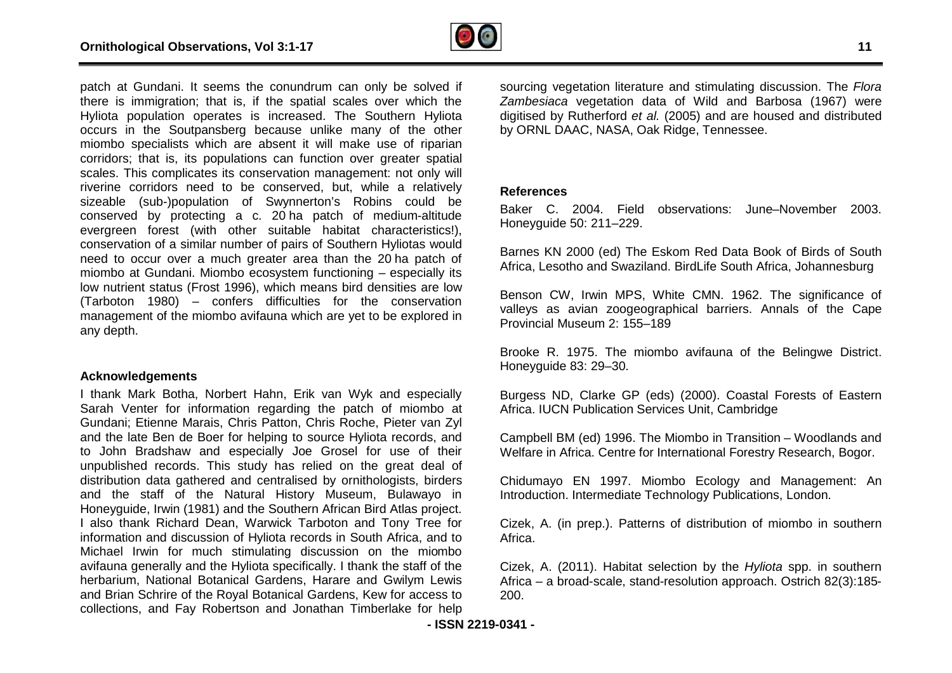

patch at Gundani. It seems the conundrum can only be solved if there is immigration; that is, if the spatial scales over which the Hyliota population operates is increased. The Southern Hyliota occurs in the Soutpansberg because unlike many of the other miombo specialists which are absent it will make use of riparian corridors; that is, its populations can function over greater spatial scales. This complicates its conservation management: not only will riverine corridors need to be conserved, but, while a relatively sizeable (sub-)population of Swynnerton's Robins could be conserved by protecting a c. 20 ha patch of medium evergreen forest (with other suitable habitat characteristics!), conservation of a similar number of pairs of Southern Hyliotas would need to occur over a much greater area than the 20 ha patch of miombo at Gundani. Miombo ecosystem functioning – especially its low nutrient status (Frost 1996), which means bird densities are low (Tarboton 1980) – confers difficulties for the conservation management of the miombo avifauna which are yet to be explored in any depth. opulation operates is increased. The Southern Hyliota<br>
the Soutpansberg because unlike many of the other<br>
specialists which are absent it will make use of riparian<br>
that is, its populations can function over greater spatia coundrim can only be solved if sourcing vegetation literature and stimulating discussion. The content is partial conserved. The Sourcine recease of the Sourcine Hylicia discussion in the digitised by Rutherford *et al.* (2

#### **Acknowledgements**

I thank Mark Botha, Norbert Hahn, Erik van Wyk and especially Sarah Venter for information regarding the patch of miombo at Gundani; Etienne Marais, Chris Patton, Chris Roche, Pieter van Zyl and the late Ben de Boer for helping to source Hyliota records, and to John Bradshaw and especially Joe Grosel for use of their unpublished records. This study has relied on the great deal of distribution data gathered and centralised by ornithologists, birders and the staff of the Natural History Museum, Bulawayo in Honeyguide, Irwin (1981) and the Southern African Bird Atlas project. I also thank Richard Dean, Warwick Tarboton and Tony Tree for information and discussion of Hyliota records in South Africa, and to Michael Irwin for much stimulating discussion on the miombo avifauna generally and the Hyliota specifically. I thank the staff of the herbarium, National Botanical Gardens, Harare and Gwilym Lewis and Brian Schrire of the Royal Botanical Gardens, Kew for access to collections, and Fay Robertson and Jonathan Timberlake for help trient status (Frost 1996), which means bird densities are low<br>ton 1980) – confers difficulties for the conservation<br>ement of the miombo avifauna which are yet to be explored in<br>pth.<br>**Wiedgements**<br>K Mark Botha, Norbert Hah

*Zambesiaca* vegetation data of Wild and Barbosa (1967) were digitised by Rutherford *et al.* (2005) and are housed and distributed by ORNL DAAC, NASA, Oak Ridge, Tennessee. sourcing vegetation literature and stimulating discussion. The Flora

#### **References**

Baker C. 2004. Field observations: June–November 2003. Honeyguide 50: 211–229.

Barnes KN 2000 (ed) The Eskom Red Data Book of Birds of South Africa, Lesotho and Swaziland. BirdLife South Africa, Johannesburg

Benson CW, Irwin MPS, White CMN. 1962. The significance of valleys as avian zoogeographical barriers. Annals of the Cape Provincial Museum 2: 155–189

Brooke R. 1975. The miombo avifauna of the Belingwe District. Honeyguide 83: 29–30.

Burgess ND, Clarke GP (eds) (2000). Coastal Forests of Eastern Africa. IUCN Publication Services Unit, Cambridge s avian zoogeographical barriers. Annals of the Cape<br>Museum 2: 155–189<br>1. 1975. The miombo avifauna of the Belingwe District.<br>de 83: 29–30.<br>ND, Clarke GP (eds) (2000). Coastal Forests of Eastern<br>CN Publication Services Uni

Campbell BM (ed) 1996. The Miombo in Transition Welfare in Africa. Centre for International Forestry Research, Bogor.

Chidumayo EN 1997. Miombo Ecology and Management: An Introduction. Intermediate Technology Publications, London.

Cizek, A. (in prep.). Patterns of distribution of miombo in southern Africa.

Cizek, A. (2011). Habitat selection by the *Hyliota* spp. in southern Africa - a broad-scale, stand-resolution approach. Ostrich 82(3):185-200.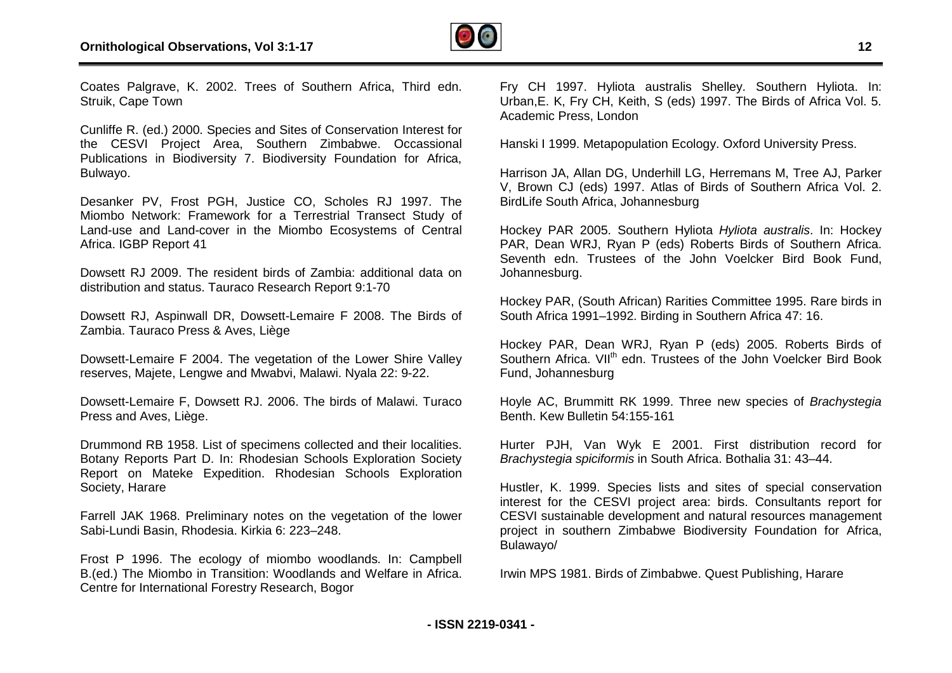

Coates Palgrave, K. 2002. Trees of Southern Africa, Third edn. Struik, Cape Town

Cunliffe R. (ed.) 2000. Species and Sites of Conservation Interest for the CESVI Project Area, Southern Zimbabwe. Occassional Publications in Biodiversity 7. Biodiversity Foundation for Afric Africa, Bulwayo.

Desanker PV, Frost PGH, Justice CO, Scholes RJ 1997. The Miombo Network: Framework for a Terrestrial Transect Study of Land-use and Land-cover in the Miombo Ecosystems of Central Africa. IGBP Report 41

Dowsett RJ 2009. The resident birds of Zambia: additional data on distribution and status. Tauraco Research Report 9:1-70 e and Land-cover in the Miombo Ecosystems of CoSBP Report 41<br>RJ 2009. The resident birds of Zambia: additional da<br>on and status. Tauraco Research Report 9:1-70<br>RJ, Aspinwall DR, Dowsett-Lemaire F 2008. The Bir<br>Tauraco Pres

Dowsett RJ, Aspinwall DR, Dowsett-Lemaire F 2008. The Birds of Zambia. Tauraco Press & Aves, Liège

Dowsett-Lemaire F 2004. The vegetation of the Lower Shire Valley reserves, Majete, Lengwe and Mwabvi, Malawi. Nyala 22: 9

Dowsett-Lemaire F, Dowsett RJ. 2006. The birds of Malawi. Turaco Press and Aves, Liège.

Drummond RB 1958. List of specimens collected and their localities. Botany Reports Part D. In: Rhodesian Schools Exploration Society Report on Mateke Expedition. Rhodesian Schools Exploration Society, Harare

Farrell JAK 1968. Preliminary notes on the vegetation of the lower Sabi-Lundi Basin, Rhodesia. Kirkia 6: 223–248.

Frost P 1996. The ecology of miombo woodlands. In: Campbell B.(ed.) The Miombo in Transition: Woodlands and Welfare in Africa. Centre for International Forestry Research, Bogor

Urban,E. K, Fry CH, Keith, S (eds) 1997. The Birds of Africa Vol. 5. Academic Press, London

Hanski I 1999. Metapopulation Ecology. Oxford University Press.

Harrison JA, Allan DG, Underhill LG, Herremans M, Tree AJ, Parker V, Brown CJ (eds) 1997. Atlas of Birds of Southern Africa Vol. 2. BirdLife South Africa, Johannesburg

Hockey PAR 2005. Southern Hyliota *Hyliota australis* . In: Hockey PAR, Dean WRJ, Ryan P (eds) Roberts Birds of Southern Africa. Seventh edn. Trustees of the John Voelcker Bird Book Fund, Johannesburg.

Hockey PAR, (South African) Rarities Committee 1995. Rare birds in South Africa 1991–1992. Birding in Southern Africa 47: 16.

South Africa 1991–1992. Birding in Southern Africa 47: 16.<br>Hockey PAR, Dean WRJ, Ryan P (eds) 2005. Roberts Birds of Southern Africa. VII<sup>th</sup> edn. Trustees of the John Voelcker Bird Book Fund, Johannesburg

Hoyle AC, Brummitt RK 1999. Three new species of *Brachystegia* Benth. Kew Bulletin 54:155-161

Hurter PJH, Van Wyk E 2001. First distribution record for *Brachystegia spiciformis* in South Africa. Bothalia 31: 43 43–44.

2003 The state of Southern Africa. Third edn.<br>
2016 The State of Missing australis Shelley. Note and Conservation Interest for Shelley. Hyliota australis Shelley. Southern Hyliota Interest Shelley. The Shelley. The Birds o Hustler, K. 1999. Species lists and sites of special conservation interest for the CESVI project area: birds. Consultants report for CESVI sustainable development and natural resources management project in southern Zimbabwe Biodiversity Foundation for Africa, Bulawayo/ erest for the CESVI project area: birds. Consultants rep<br>ESVI sustainable development and natural resources manag<br>oject in southern Zimbabwe Biodiversity Foundation for<br>Ilawayo/<br>vin MPS 1981. Birds of Zimbabwe. Quest Publi

Irwin MPS 1981. Birds of Zimbabwe. Quest Publishing, Harare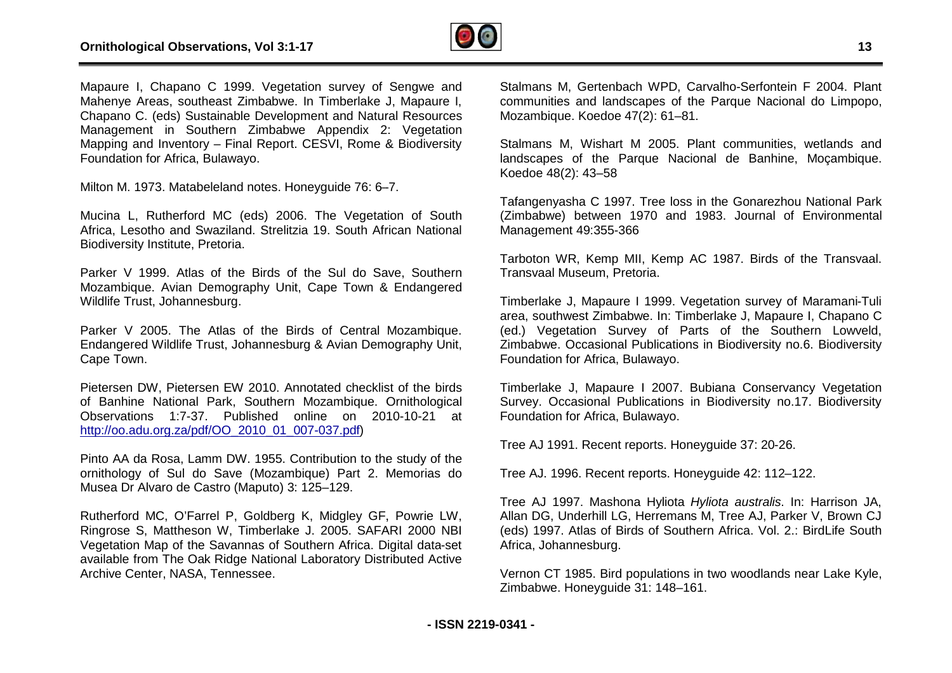

Mapaure I, Chapano C 1999. Vegetation survey of Sengwe and Mahenye Areas, southeast Zimbabwe. In Timberlake J, Mapaure I, Chapano C. (eds) Sustainable Development and Natural Resources Management in Southern Zimbabwe Appendix 2: Vegetation Mapping and Inventory – Final Report. CESVI, Rome & Biodiversity Foundation for Africa, Bulawayo.

Milton M. 1973. Matabeleland notes. Honeyguide 76: 6– –7.

Mucina L, Rutherford MC (eds) 2006. The Vegetation of South Africa, Lesotho and Swaziland. Strelitzia 19. South African National Biodiversity Institute, Pretoria.

Parker V 1999. Atlas of the Birds of the Sul do Save, Southern Mozambique. Avian Demography Unit, Cape Town & Endangered Wildlife Trust, Johannesburg. uth African National<br>do Save, Southern<br>own & Endangered<br>entral Mozambique.

Parker V 2005. The Atlas of the Birds of Central Mozambique. Endangered Wildlife Trust, Johannesburg & Avian Demography Unit, Cape Town.

Pietersen DW, Pietersen EW 2010. Annotated checklist of the birds of Banhine National Park, Southern Mozambique. Ornithological Observations 1:7-37. Published online on 2010 2010-10-21 at [http://oo.adu.org.za/pdf/OO\\_2010\\_01\\_007-037.pdf](http://oo.adu.org.za/pdf/OO_2010_01_007-037.pdf))

Pinto AA da Rosa, Lamm DW. 1955. Contribution to the study of the ornithology of Sul do Save (Mozambique) Part 2. Memorias do Musea Dr Alvaro de Castro (Maputo) 3: 125–129.

Rutherford MC, O'Farrel P, Goldberg K, Midgley GF, Powrie LW, Ringrose S, Mattheson W, Timberlake J. 2005. SAFARI 2000 NBI Vegetation Map of the Savannas of Southern Africa. Digital data data-set available from The Oak Ridge National Laboratory Distributed Active Archive Center, NASA, Tennessee.

Stalmans M, Gertenbach WPD, Carvalho-Serfontein F 2004. Plant communities and landscapes of the Parque Nacional do Limpopo, Mozambique. Koedoe 47(2): 61–81.

Stalmans M, Wishart M 2005. Plant communities, wetlands and landscapes of the Parque Nacional de Banhine, Moçambique. Koedoe 48(2): 43–58 rtenbach WPD, Carvalho-Serfontein F 2004. Plant<br>
I landscapes of the Parque Nacional do Limpopo,<br>
edoe 47(2): 61–81.<br>
shart M 2005. Plant communities, wetlands and<br>
he Parque Nacional de Banhine, Moçambique.<br>
-58<br>
C 1997.

Tafangenyasha C 1997. Tree loss in the Gonarezhou National Park (Zimbabwe) between 1970 and 1983. Journal of Environmental Management 49:355-366

Tarboton WR, Kemp MII, Kemp AC 1987. Birds of the Transvaal. Transvaal Museum, Pretoria.

Timberlake J, Mapaure I 1999. Vegetation survey of Maramani area, southwest Zimbabwe. In: Timberlake J, Mapaure I, Chapano C (ed.) Vegetation Survey of Parts of the Southern Lowveld, Zimbabwe. Occasional Publications in Biodiversity no.6. Biodiversity Foundation for Africa, Bulawayo. ey of Parts of the Southern Lowveld,<br>Publications in Biodiversity no.6. Biodiversity<br>ulawayo.<br>I 2007. Bubiana Conservancy Vegetation<br>blications in Biodiversity no.17. Biodiversity

Timberlake J, Mapaure I 2007. Bubiana Conservancy Vegetation Survey. Occasional Publications in Biodiversity no.17. Biodiversity Foundation for Africa, Bulawayo.

Tree AJ 1991. Recent reports. Honeyguide 37: 20 20-26.

Tree AJ. 1996. Recent reports. Honeyguide 42: 112 112–122.

Tree AJ 1997. Mashona Hyliota *Hyliota australis* . In: Harrison JA, Allan DG, Underhill LG, Herremans M, Tree AJ, Parker V, Brown CJ (eds) 1997. Atlas of Birds of Southern Africa. Vol. 2.: BirdLife South Africa, Johannesburg.

Vernon CT 1985. Bird populations in two woodlands near Lake Kyle, Zimbabwe. Honeyguide 31: 148–161.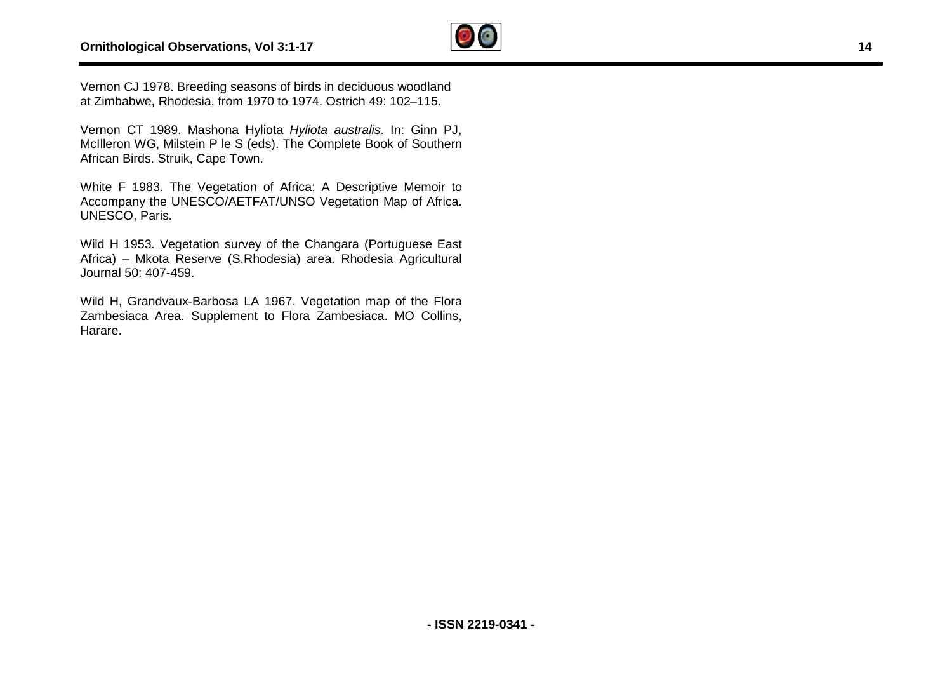

Vernon CJ 1978. Breeding seasons of birds in deciduous woodland Vernon CJ 1978. Breeding seasons of birds in deciduous woodlan<br>at Zimbabwe, Rhodesia, from 1970 to 1974. Ostrich 49: 102–115.

Vernon CT 1989. Mashona Hyliota *Hyliota australis*. In: Ginn PJ, McIlleron WG, Milstein P le S (eds). The Complete Book of Southern African Birds. Struik, Cape Town.

White F 1983. The Vegetation of Africa: A Descriptive Memoir to Accompany the UNESCO/AETFAT/UNSO Vegetation Map of Africa. UNESCO, Paris. ervations, Vol 3:1-17<br>
eeding seasons of birds in deciduous woodland<br>
sisia, from 1970 to 1974. Ostrich 49: 102–115.<br>
Mashona Hyliota *Hyliota australis.* In: Cinn PJ,<br>
vian P le S (eds). The Complete Book of Southern<br>
Cap

Wild H 1953. Vegetation survey of the Changara (Portuguese East Africa) – Mkota Reserve (S.Rhodesia) area. Rhodesia Agricultural Journal 50: 407-459.

Wild H, Grandvaux-Barbosa LA 1967. Vegetation map of the Flora Zambesiaca Area. Supplement to Flora Zambesiaca. MO Collins, Harare.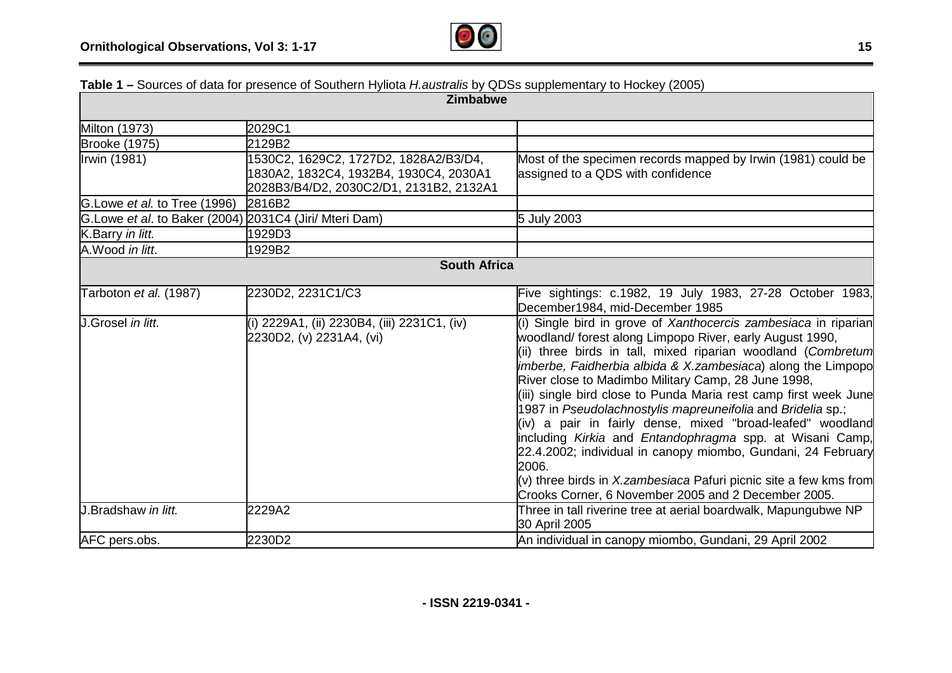

| <b>Table 1</b> – Obdices of data for presence or Obdificiti Hyllota <i>Hadsitalis by</i> QDOS supplementary to Hockey (2000)<br><b>Zimbabwe</b> |                                                                                                                            |                                                                                                                                                                                                                                                                                                                                                                                                                                                                                                                                                                                                                                                                                                                                                                                     |  |  |  |  |  |  |
|-------------------------------------------------------------------------------------------------------------------------------------------------|----------------------------------------------------------------------------------------------------------------------------|-------------------------------------------------------------------------------------------------------------------------------------------------------------------------------------------------------------------------------------------------------------------------------------------------------------------------------------------------------------------------------------------------------------------------------------------------------------------------------------------------------------------------------------------------------------------------------------------------------------------------------------------------------------------------------------------------------------------------------------------------------------------------------------|--|--|--|--|--|--|
|                                                                                                                                                 |                                                                                                                            |                                                                                                                                                                                                                                                                                                                                                                                                                                                                                                                                                                                                                                                                                                                                                                                     |  |  |  |  |  |  |
| Milton (1973)                                                                                                                                   | 2029C1                                                                                                                     |                                                                                                                                                                                                                                                                                                                                                                                                                                                                                                                                                                                                                                                                                                                                                                                     |  |  |  |  |  |  |
| <b>Brooke (1975)</b>                                                                                                                            | 2129B2                                                                                                                     |                                                                                                                                                                                                                                                                                                                                                                                                                                                                                                                                                                                                                                                                                                                                                                                     |  |  |  |  |  |  |
| Irwin (1981)                                                                                                                                    | 1530C2, 1629C2, 1727D2, 1828A2/B3/D4,<br>1830A2, 1832C4, 1932B4, 1930C4, 2030A1<br>2028B3/B4/D2, 2030C2/D1, 2131B2, 2132A1 | Most of the specimen records mapped by Irwin (1981) could be<br>assigned to a QDS with confidence                                                                                                                                                                                                                                                                                                                                                                                                                                                                                                                                                                                                                                                                                   |  |  |  |  |  |  |
| G. Lowe et al. to Tree (1996)                                                                                                                   | 2816B2                                                                                                                     |                                                                                                                                                                                                                                                                                                                                                                                                                                                                                                                                                                                                                                                                                                                                                                                     |  |  |  |  |  |  |
| G. Lowe et al. to Baker (2004) 2031C4 (Jiri/ Mteri Dam)                                                                                         |                                                                                                                            | 5 July 2003                                                                                                                                                                                                                                                                                                                                                                                                                                                                                                                                                                                                                                                                                                                                                                         |  |  |  |  |  |  |
| K.Barry in litt.                                                                                                                                | 1929D3                                                                                                                     |                                                                                                                                                                                                                                                                                                                                                                                                                                                                                                                                                                                                                                                                                                                                                                                     |  |  |  |  |  |  |
| A.Wood in litt.                                                                                                                                 | 1929B2                                                                                                                     |                                                                                                                                                                                                                                                                                                                                                                                                                                                                                                                                                                                                                                                                                                                                                                                     |  |  |  |  |  |  |
| <b>South Africa</b>                                                                                                                             |                                                                                                                            |                                                                                                                                                                                                                                                                                                                                                                                                                                                                                                                                                                                                                                                                                                                                                                                     |  |  |  |  |  |  |
| Tarboton et al. (1987)                                                                                                                          | 2230D2, 2231C1/C3                                                                                                          | Five sightings: c.1982, 19 July 1983, 27-28 October 1983,<br>December1984, mid-December 1985                                                                                                                                                                                                                                                                                                                                                                                                                                                                                                                                                                                                                                                                                        |  |  |  |  |  |  |
| J.Grosel in litt.                                                                                                                               | (i) 2229A1, (ii) 2230B4, (iii) 2231C1, (iv)<br>2230D2, (v) 2231A4, (vi)                                                    | (i) Single bird in grove of Xanthocercis zambesiaca in riparian<br>woodland/forest along Limpopo River, early August 1990,<br>(ii) three birds in tall, mixed riparian woodland (Combretum<br>imberbe, Faidherbia albida & X.zambesiaca) along the Limpopo<br>River close to Madimbo Military Camp, 28 June 1998,<br>(iii) single bird close to Punda Maria rest camp first week June<br>1987 in Pseudolachnostylis mapreuneifolia and Bridelia sp.;<br>(iv) a pair in fairly dense, mixed "broad-leafed" woodland<br>including Kirkia and Entandophragma spp. at Wisani Camp,<br>22.4.2002; individual in canopy miombo, Gundani, 24 February<br>2006.<br>(v) three birds in X.zambesiaca Pafuri picnic site a few kms from<br>Crooks Corner, 6 November 2005 and 2 December 2005. |  |  |  |  |  |  |
| J.Bradshaw in litt.                                                                                                                             | 2229A2                                                                                                                     | Three in tall riverine tree at aerial boardwalk, Mapungubwe NP<br>30 April 2005                                                                                                                                                                                                                                                                                                                                                                                                                                                                                                                                                                                                                                                                                                     |  |  |  |  |  |  |
| AFC pers.obs.                                                                                                                                   | 2230D2                                                                                                                     | An individual in canopy miombo, Gundani, 29 April 2002                                                                                                                                                                                                                                                                                                                                                                                                                                                                                                                                                                                                                                                                                                                              |  |  |  |  |  |  |

**Table 1 –** Sources of data for presence of Southern Hyliota *H.australis* by QDSs supplementary to Hockey (2005)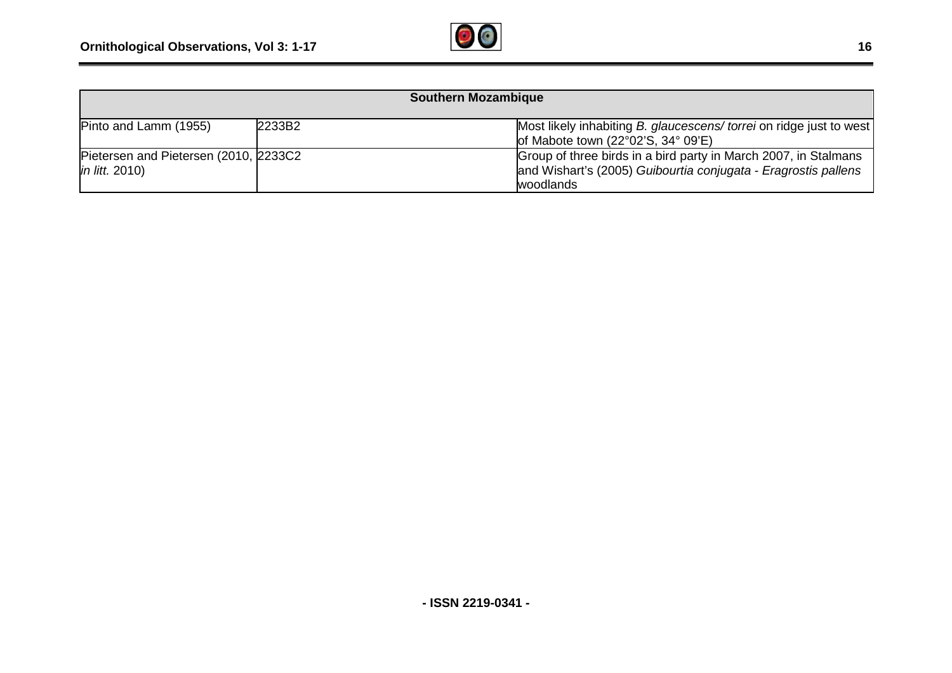

| <b>Southern Mozambique</b>                                     |        |                                                                                                                                                |  |  |  |  |  |
|----------------------------------------------------------------|--------|------------------------------------------------------------------------------------------------------------------------------------------------|--|--|--|--|--|
| Pinto and Lamm (1955)                                          | 2233B2 | Most likely inhabiting B. glaucescens/ torrei on ridge just to west<br>of Mabote town $(22^{\circ}02'S, 34^{\circ}09'E)$                       |  |  |  |  |  |
| Pietersen and Pietersen (2010, 2233C2<br><i>in litt.</i> 2010) |        | Group of three birds in a bird party in March 2007, in Stalmans<br>and Wishart's (2005) Guibourtia conjugata - Eragrostis pallens<br>woodlands |  |  |  |  |  |